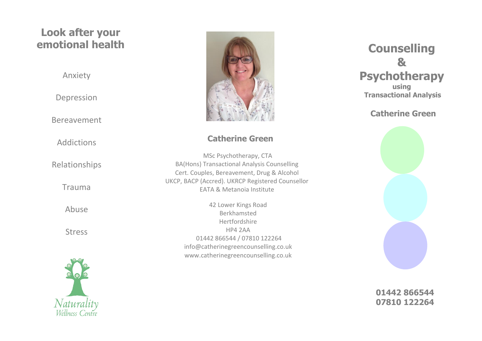# **Look after your emotional health**

Anxiety

Depression

Bereavement

Addictions

Relationships

Trauma

Abuse

Stress





#### **Catherine Green**

MSc Psychotherapy, CTA BA(Hons) Transactional Analysis Counselling Cert. Couples, Bereavement, Drug & Alcohol UKCP, BACP (Accred). UKRCP Registered Counsellor EATA & Metanoia Institute

> 42 Lower Kings Road Berkhamsted Hertfordshire HP4 2AA 01442 866544 / 07810 122264 [info@catherinegreencounselling.co.uk](mailto:info@catherinegreencounselling.co,uk) [www.catherinegreencounselling.co.uk](http://www.catherinegreencounselling.co.uk/)

# **Counselling & Psychotherapy using Transactional Analysis**

#### **Catherine Green**



**01442 866544 07810 122264**